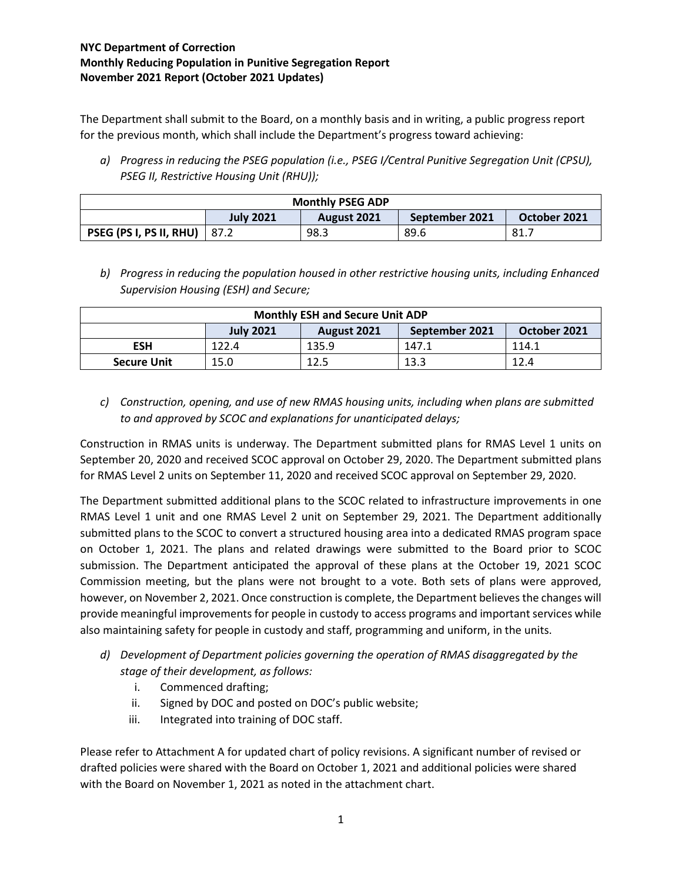The Department shall submit to the Board, on a monthly basis and in writing, a public progress report for the previous month, which shall include the Department's progress toward achieving:

*a) Progress in reducing the PSEG population (i.e., PSEG I/Central Punitive Segregation Unit (CPSU), PSEG II, Restrictive Housing Unit (RHU));*

| <b>Monthly PSEG ADP</b> |                  |             |                |              |
|-------------------------|------------------|-------------|----------------|--------------|
|                         | <b>July 2021</b> | August 2021 | September 2021 | October 2021 |
| PSEG (PS I, PS II, RHU) | 87.2             | 98.3        | 89.6           | 81           |

*b) Progress in reducing the population housed in other restrictive housing units, including Enhanced Supervision Housing (ESH) and Secure;*

| <b>Monthly ESH and Secure Unit ADP</b> |                  |             |                |              |
|----------------------------------------|------------------|-------------|----------------|--------------|
|                                        | <b>July 2021</b> | August 2021 | September 2021 | October 2021 |
| <b>ESH</b>                             | 122.4            | 135.9       | 147.1          | 114.1        |
| <b>Secure Unit</b>                     | 15.0             | 12.5        | 13.3           | 12.4         |

*c) Construction, opening, and use of new RMAS housing units, including when plans are submitted to and approved by SCOC and explanations for unanticipated delays;*

Construction in RMAS units is underway. The Department submitted plans for RMAS Level 1 units on September 20, 2020 and received SCOC approval on October 29, 2020. The Department submitted plans for RMAS Level 2 units on September 11, 2020 and received SCOC approval on September 29, 2020.

The Department submitted additional plans to the SCOC related to infrastructure improvements in one RMAS Level 1 unit and one RMAS Level 2 unit on September 29, 2021. The Department additionally submitted plans to the SCOC to convert a structured housing area into a dedicated RMAS program space on October 1, 2021. The plans and related drawings were submitted to the Board prior to SCOC submission. The Department anticipated the approval of these plans at the October 19, 2021 SCOC Commission meeting, but the plans were not brought to a vote. Both sets of plans were approved, however, on November 2, 2021. Once construction is complete, the Department believes the changes will provide meaningful improvements for people in custody to access programs and important services while also maintaining safety for people in custody and staff, programming and uniform, in the units.

- *d) Development of Department policies governing the operation of RMAS disaggregated by the stage of their development, as follows:*
	- i. Commenced drafting;
	- ii. Signed by DOC and posted on DOC's public website;
	- iii. Integrated into training of DOC staff.

Please refer to Attachment A for updated chart of policy revisions. A significant number of revised or drafted policies were shared with the Board on October 1, 2021 and additional policies were shared with the Board on November 1, 2021 as noted in the attachment chart.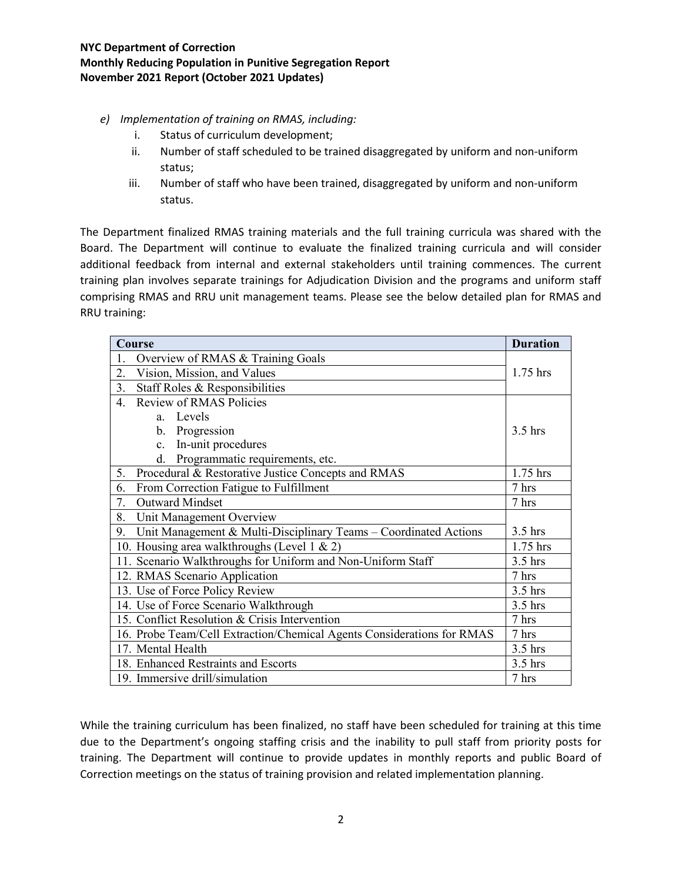- *e) Implementation of training on RMAS, including:*
	- i. Status of curriculum development;
	- ii. Number of staff scheduled to be trained disaggregated by uniform and non-uniform status;
	- iii. Number of staff who have been trained, disaggregated by uniform and non-uniform status.

The Department finalized RMAS training materials and the full training curricula was shared with the Board. The Department will continue to evaluate the finalized training curricula and will consider additional feedback from internal and external stakeholders until training commences. The current training plan involves separate trainings for Adjudication Division and the programs and uniform staff comprising RMAS and RRU unit management teams. Please see the below detailed plan for RMAS and RRU training:

| Course                                                                 |            |  |
|------------------------------------------------------------------------|------------|--|
| Overview of RMAS & Training Goals<br>1.                                |            |  |
| Vision, Mission, and Values<br>2.                                      | $1.75$ hrs |  |
| 3.<br>Staff Roles & Responsibilities                                   |            |  |
| <b>Review of RMAS Policies</b><br>$\mathbf{4}$ .                       |            |  |
| a. Levels                                                              |            |  |
| Progression<br>b.                                                      | $3.5$ hrs  |  |
| In-unit procedures<br>$\mathbf{c}$ .                                   |            |  |
| Programmatic requirements, etc.<br>d.                                  |            |  |
| Procedural & Restorative Justice Concepts and RMAS<br>5.               | 1.75 hrs   |  |
| From Correction Fatigue to Fulfillment<br>6.                           | 7 hrs      |  |
| <b>Outward Mindset</b><br>7.                                           | 7 hrs      |  |
| 8.<br>Unit Management Overview                                         |            |  |
| Unit Management & Multi-Disciplinary Teams - Coordinated Actions<br>9. |            |  |
| 10. Housing area walkthroughs (Level 1 & 2)                            |            |  |
| 11. Scenario Walkthroughs for Uniform and Non-Uniform Staff            | $3.5$ hrs  |  |
| 12. RMAS Scenario Application                                          | 7 hrs      |  |
| 13. Use of Force Policy Review                                         | $3.5$ hrs  |  |
| 14. Use of Force Scenario Walkthrough                                  | $3.5$ hrs  |  |
| 15. Conflict Resolution & Crisis Intervention                          |            |  |
| 16. Probe Team/Cell Extraction/Chemical Agents Considerations for RMAS |            |  |
| 17. Mental Health                                                      |            |  |
| 18. Enhanced Restraints and Escorts                                    |            |  |
| 19. Immersive drill/simulation                                         | 7 hrs      |  |

While the training curriculum has been finalized, no staff have been scheduled for training at this time due to the Department's ongoing staffing crisis and the inability to pull staff from priority posts for training. The Department will continue to provide updates in monthly reports and public Board of Correction meetings on the status of training provision and related implementation planning.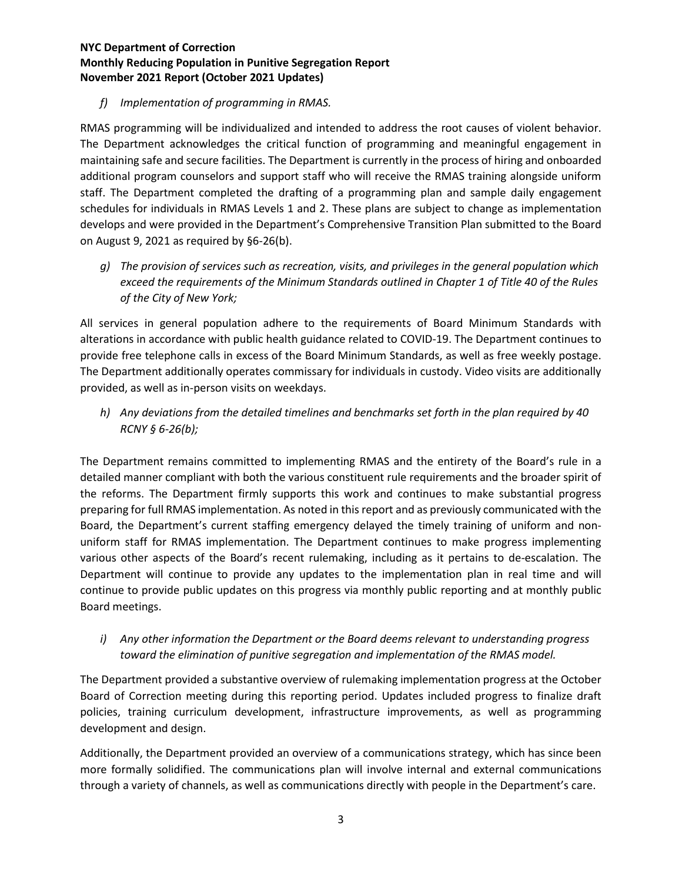### *f) Implementation of programming in RMAS.*

RMAS programming will be individualized and intended to address the root causes of violent behavior. The Department acknowledges the critical function of programming and meaningful engagement in maintaining safe and secure facilities. The Department is currently in the process of hiring and onboarded additional program counselors and support staff who will receive the RMAS training alongside uniform staff. The Department completed the drafting of a programming plan and sample daily engagement schedules for individuals in RMAS Levels 1 and 2. These plans are subject to change as implementation develops and were provided in the Department's Comprehensive Transition Plan submitted to the Board on August 9, 2021 as required by §6-26(b).

*g) The provision of services such as recreation, visits, and privileges in the general population which exceed the requirements of the Minimum Standards outlined in Chapter 1 of Title 40 of the Rules of the City of New York;*

All services in general population adhere to the requirements of Board Minimum Standards with alterations in accordance with public health guidance related to COVID-19. The Department continues to provide free telephone calls in excess of the Board Minimum Standards, as well as free weekly postage. The Department additionally operates commissary for individuals in custody. Video visits are additionally provided, as well as in-person visits on weekdays.

*h) Any deviations from the detailed timelines and benchmarks set forth in the plan required by 40 RCNY § 6-26(b);*

The Department remains committed to implementing RMAS and the entirety of the Board's rule in a detailed manner compliant with both the various constituent rule requirements and the broader spirit of the reforms. The Department firmly supports this work and continues to make substantial progress preparing for full RMAS implementation. As noted in this report and as previously communicated with the Board, the Department's current staffing emergency delayed the timely training of uniform and nonuniform staff for RMAS implementation. The Department continues to make progress implementing various other aspects of the Board's recent rulemaking, including as it pertains to de-escalation. The Department will continue to provide any updates to the implementation plan in real time and will continue to provide public updates on this progress via monthly public reporting and at monthly public Board meetings.

*i) Any other information the Department or the Board deems relevant to understanding progress toward the elimination of punitive segregation and implementation of the RMAS model.*

The Department provided a substantive overview of rulemaking implementation progress at the October Board of Correction meeting during this reporting period. Updates included progress to finalize draft policies, training curriculum development, infrastructure improvements, as well as programming development and design.

Additionally, the Department provided an overview of a communications strategy, which has since been more formally solidified. The communications plan will involve internal and external communications through a variety of channels, as well as communications directly with people in the Department's care.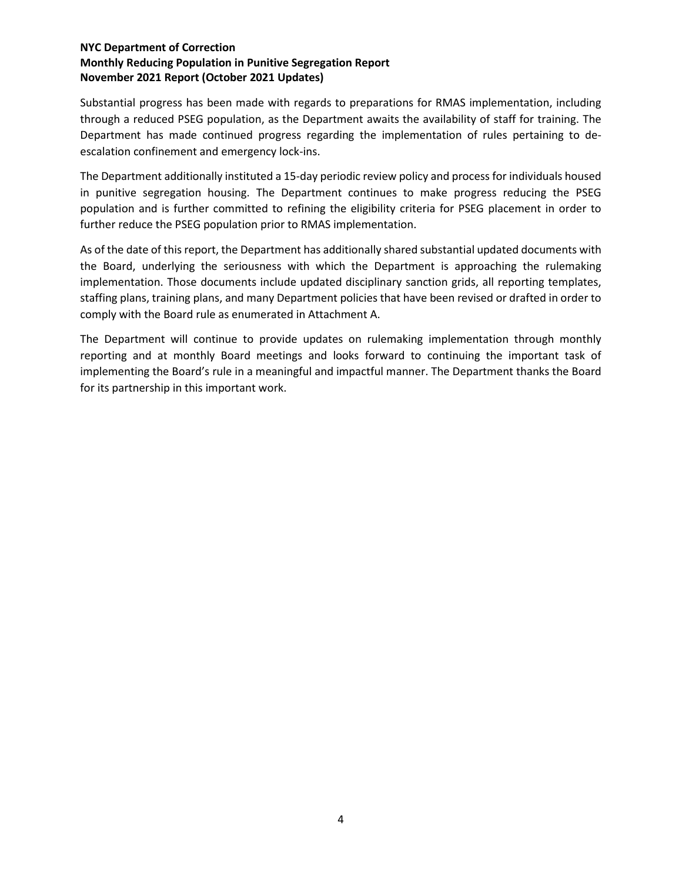Substantial progress has been made with regards to preparations for RMAS implementation, including through a reduced PSEG population, as the Department awaits the availability of staff for training. The Department has made continued progress regarding the implementation of rules pertaining to deescalation confinement and emergency lock-ins.

The Department additionally instituted a 15-day periodic review policy and process for individuals housed in punitive segregation housing. The Department continues to make progress reducing the PSEG population and is further committed to refining the eligibility criteria for PSEG placement in order to further reduce the PSEG population prior to RMAS implementation.

As of the date of this report, the Department has additionally shared substantial updated documents with the Board, underlying the seriousness with which the Department is approaching the rulemaking implementation. Those documents include updated disciplinary sanction grids, all reporting templates, staffing plans, training plans, and many Department policies that have been revised or drafted in order to comply with the Board rule as enumerated in Attachment A.

The Department will continue to provide updates on rulemaking implementation through monthly reporting and at monthly Board meetings and looks forward to continuing the important task of implementing the Board's rule in a meaningful and impactful manner. The Department thanks the Board for its partnership in this important work.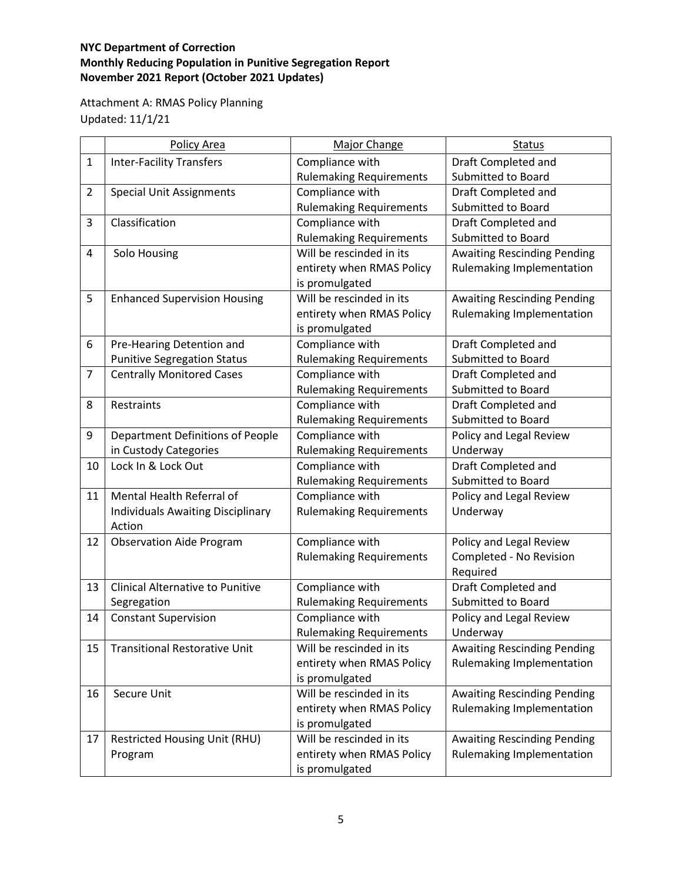Attachment A: RMAS Policy Planning Updated: 11/1/21

|                | Policy Area                              | <b>Major Change</b>            | <b>Status</b>                      |
|----------------|------------------------------------------|--------------------------------|------------------------------------|
| $\mathbf{1}$   | <b>Inter-Facility Transfers</b>          | Compliance with                | Draft Completed and                |
|                |                                          | <b>Rulemaking Requirements</b> | <b>Submitted to Board</b>          |
| $\overline{2}$ | <b>Special Unit Assignments</b>          | Compliance with                | Draft Completed and                |
|                |                                          | <b>Rulemaking Requirements</b> | Submitted to Board                 |
| 3              | Classification                           | Compliance with                | Draft Completed and                |
|                |                                          | <b>Rulemaking Requirements</b> | <b>Submitted to Board</b>          |
| 4              | Solo Housing                             | Will be rescinded in its       | <b>Awaiting Rescinding Pending</b> |
|                |                                          | entirety when RMAS Policy      | Rulemaking Implementation          |
|                |                                          | is promulgated                 |                                    |
| 5              | <b>Enhanced Supervision Housing</b>      | Will be rescinded in its       | <b>Awaiting Rescinding Pending</b> |
|                |                                          | entirety when RMAS Policy      | Rulemaking Implementation          |
|                |                                          | is promulgated                 |                                    |
| 6              | Pre-Hearing Detention and                | Compliance with                | Draft Completed and                |
|                | <b>Punitive Segregation Status</b>       | <b>Rulemaking Requirements</b> | <b>Submitted to Board</b>          |
| $\overline{7}$ | <b>Centrally Monitored Cases</b>         | Compliance with                | Draft Completed and                |
|                |                                          | <b>Rulemaking Requirements</b> | <b>Submitted to Board</b>          |
| 8              | Restraints                               | Compliance with                | Draft Completed and                |
|                |                                          | <b>Rulemaking Requirements</b> | Submitted to Board                 |
| 9              | Department Definitions of People         | Compliance with                | Policy and Legal Review            |
|                | in Custody Categories                    | <b>Rulemaking Requirements</b> | Underway                           |
| 10             | Lock In & Lock Out                       | Compliance with                | Draft Completed and                |
|                |                                          | <b>Rulemaking Requirements</b> | <b>Submitted to Board</b>          |
| 11             | Mental Health Referral of                | Compliance with                | Policy and Legal Review            |
|                | <b>Individuals Awaiting Disciplinary</b> | <b>Rulemaking Requirements</b> | Underway                           |
|                | Action                                   |                                |                                    |
| 12             | <b>Observation Aide Program</b>          | Compliance with                | Policy and Legal Review            |
|                |                                          | <b>Rulemaking Requirements</b> | Completed - No Revision            |
|                |                                          |                                | Required                           |
| 13             | <b>Clinical Alternative to Punitive</b>  | Compliance with                | Draft Completed and                |
|                | Segregation                              | <b>Rulemaking Requirements</b> | <b>Submitted to Board</b>          |
| 14             | <b>Constant Supervision</b>              | Compliance with                | Policy and Legal Review            |
|                |                                          | <b>Rulemaking Requirements</b> | Underway                           |
| 15             | <b>Transitional Restorative Unit</b>     | Will be rescinded in its       | <b>Awaiting Rescinding Pending</b> |
|                |                                          | entirety when RMAS Policy      | Rulemaking Implementation          |
|                |                                          | is promulgated                 |                                    |
| 16             | Secure Unit                              | Will be rescinded in its       | <b>Awaiting Rescinding Pending</b> |
|                |                                          | entirety when RMAS Policy      | Rulemaking Implementation          |
|                |                                          | is promulgated                 |                                    |
| 17             | Restricted Housing Unit (RHU)            | Will be rescinded in its       | <b>Awaiting Rescinding Pending</b> |
|                | Program                                  | entirety when RMAS Policy      | Rulemaking Implementation          |
|                |                                          | is promulgated                 |                                    |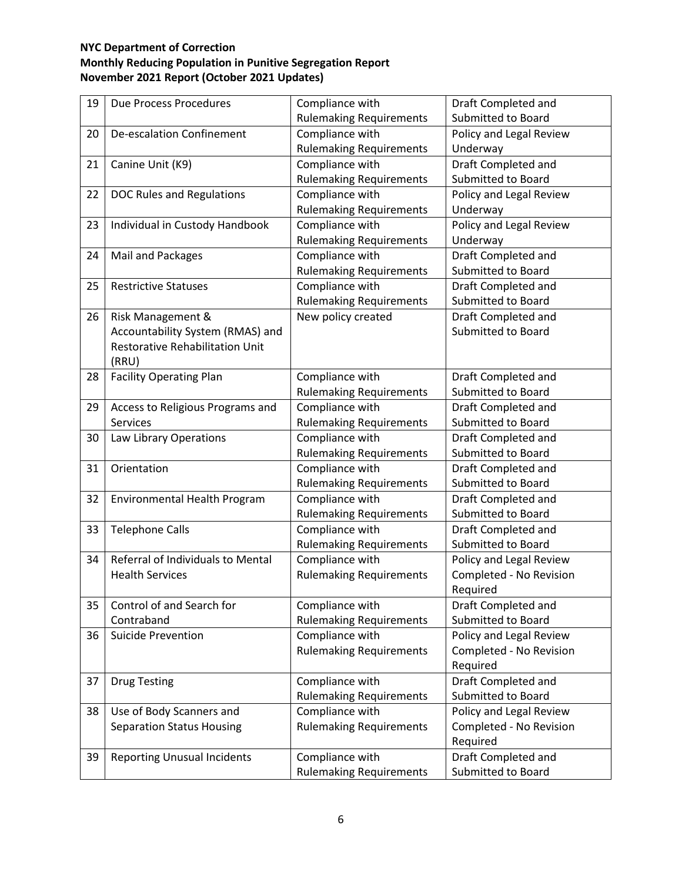| 19 | Due Process Procedures                 | Compliance with                | Draft Completed and       |
|----|----------------------------------------|--------------------------------|---------------------------|
|    |                                        | <b>Rulemaking Requirements</b> | Submitted to Board        |
| 20 | <b>De-escalation Confinement</b>       | Compliance with                | Policy and Legal Review   |
|    |                                        | <b>Rulemaking Requirements</b> | Underway                  |
| 21 | Canine Unit (K9)                       | Compliance with                | Draft Completed and       |
|    |                                        | <b>Rulemaking Requirements</b> | Submitted to Board        |
| 22 | <b>DOC Rules and Regulations</b>       | Compliance with                | Policy and Legal Review   |
|    |                                        | <b>Rulemaking Requirements</b> | Underway                  |
| 23 | Individual in Custody Handbook         | Compliance with                | Policy and Legal Review   |
|    |                                        | <b>Rulemaking Requirements</b> | Underway                  |
| 24 | Mail and Packages                      | Compliance with                | Draft Completed and       |
|    |                                        | <b>Rulemaking Requirements</b> | <b>Submitted to Board</b> |
| 25 | <b>Restrictive Statuses</b>            | Compliance with                | Draft Completed and       |
|    |                                        | <b>Rulemaking Requirements</b> | Submitted to Board        |
| 26 | Risk Management &                      | New policy created             | Draft Completed and       |
|    | Accountability System (RMAS) and       |                                | Submitted to Board        |
|    | <b>Restorative Rehabilitation Unit</b> |                                |                           |
|    | (RRU)                                  |                                |                           |
| 28 | <b>Facility Operating Plan</b>         | Compliance with                | Draft Completed and       |
|    |                                        | <b>Rulemaking Requirements</b> | Submitted to Board        |
| 29 | Access to Religious Programs and       | Compliance with                | Draft Completed and       |
|    | <b>Services</b>                        | <b>Rulemaking Requirements</b> | Submitted to Board        |
| 30 | Law Library Operations                 | Compliance with                | Draft Completed and       |
|    |                                        | <b>Rulemaking Requirements</b> | Submitted to Board        |
| 31 | Orientation                            | Compliance with                | Draft Completed and       |
|    |                                        | <b>Rulemaking Requirements</b> | Submitted to Board        |
| 32 | Environmental Health Program           | Compliance with                | Draft Completed and       |
|    |                                        | <b>Rulemaking Requirements</b> | Submitted to Board        |
| 33 | <b>Telephone Calls</b>                 | Compliance with                | Draft Completed and       |
|    |                                        | <b>Rulemaking Requirements</b> | <b>Submitted to Board</b> |
| 34 | Referral of Individuals to Mental      | Compliance with                | Policy and Legal Review   |
|    | <b>Health Services</b>                 | <b>Rulemaking Requirements</b> | Completed - No Revision   |
|    |                                        |                                | Required                  |
| 35 | Control of and Search for              | Compliance with                | Draft Completed and       |
|    | Contraband                             | <b>Rulemaking Requirements</b> | Submitted to Board        |
| 36 | <b>Suicide Prevention</b>              | Compliance with                | Policy and Legal Review   |
|    |                                        | <b>Rulemaking Requirements</b> | Completed - No Revision   |
|    |                                        |                                | Required                  |
| 37 | <b>Drug Testing</b>                    | Compliance with                | Draft Completed and       |
|    |                                        | <b>Rulemaking Requirements</b> | Submitted to Board        |
| 38 | Use of Body Scanners and               | Compliance with                | Policy and Legal Review   |
|    | <b>Separation Status Housing</b>       | <b>Rulemaking Requirements</b> | Completed - No Revision   |
|    |                                        |                                | Required                  |
| 39 | <b>Reporting Unusual Incidents</b>     | Compliance with                | Draft Completed and       |
|    |                                        | <b>Rulemaking Requirements</b> | Submitted to Board        |